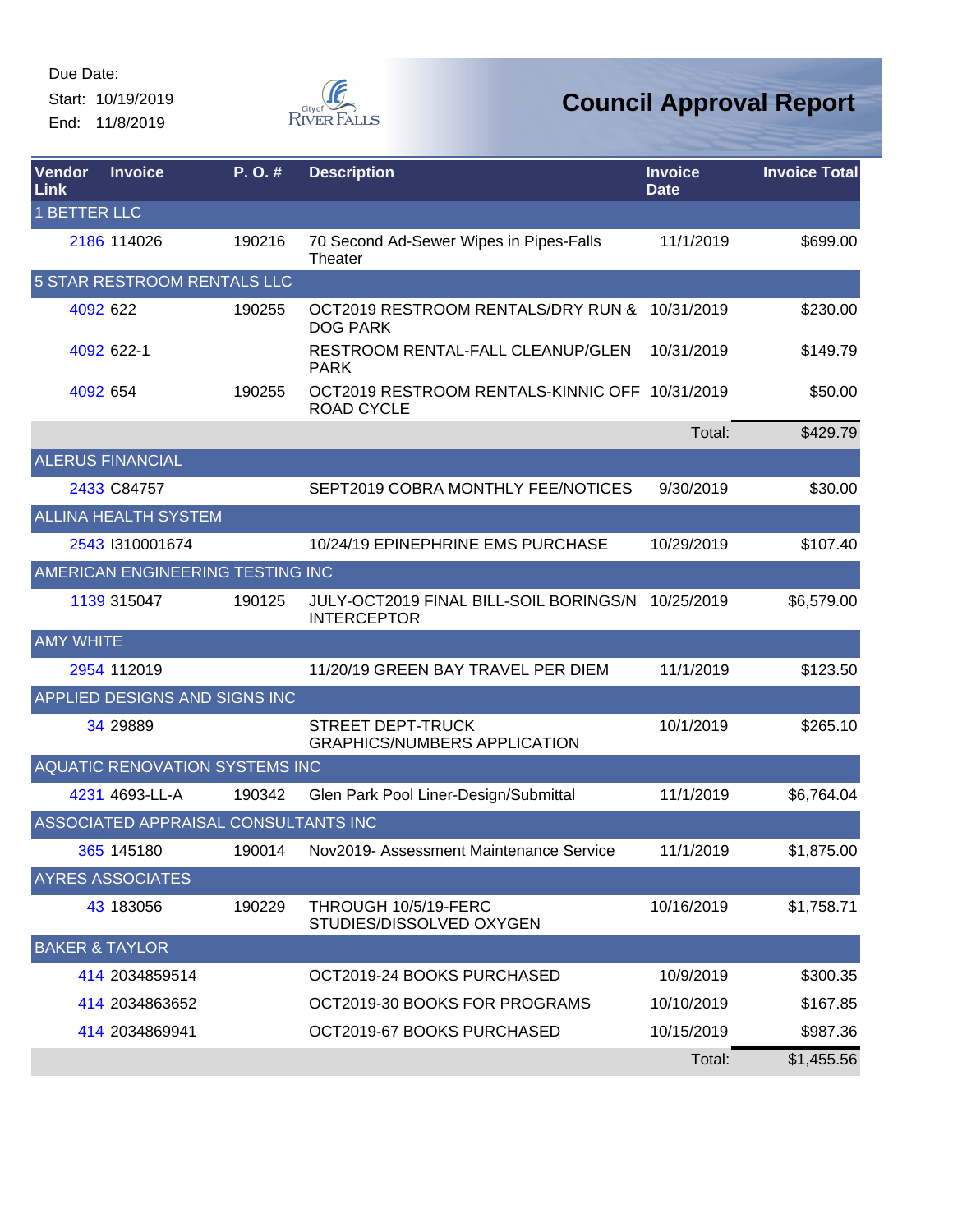End: 11/8/2019



| Vendor<br>Link            | <b>Invoice</b>                       | P.O.#  | <b>Description</b>                                                  | <b>Invoice</b><br><b>Date</b> | <b>Invoice Total</b> |
|---------------------------|--------------------------------------|--------|---------------------------------------------------------------------|-------------------------------|----------------------|
| <b>1 BETTER LLC</b>       |                                      |        |                                                                     |                               |                      |
|                           | 2186 114026                          | 190216 | 70 Second Ad-Sewer Wipes in Pipes-Falls<br>Theater                  | 11/1/2019                     | \$699.00             |
|                           | 5 STAR RESTROOM RENTALS LLC          |        |                                                                     |                               |                      |
|                           | 4092 622                             | 190255 | OCT2019 RESTROOM RENTALS/DRY RUN &<br><b>DOG PARK</b>               | 10/31/2019                    | \$230.00             |
|                           | 4092 622-1                           |        | RESTROOM RENTAL-FALL CLEANUP/GLEN<br><b>PARK</b>                    | 10/31/2019                    | \$149.79             |
| 4092 654                  |                                      | 190255 | OCT2019 RESTROOM RENTALS-KINNIC OFF 10/31/2019<br><b>ROAD CYCLE</b> |                               | \$50.00              |
|                           |                                      |        |                                                                     | Total:                        | \$429.79             |
|                           | <b>ALERUS FINANCIAL</b>              |        |                                                                     |                               |                      |
|                           | 2433 C84757                          |        | SEPT2019 COBRA MONTHLY FEE/NOTICES                                  | 9/30/2019                     | \$30.00              |
|                           | <b>ALLINA HEALTH SYSTEM</b>          |        |                                                                     |                               |                      |
|                           | 2543 1310001674                      |        | 10/24/19 EPINEPHRINE EMS PURCHASE                                   | 10/29/2019                    | \$107.40             |
|                           | AMERICAN ENGINEERING TESTING INC     |        |                                                                     |                               |                      |
|                           | 1139 315047                          | 190125 | JULY-OCT2019 FINAL BILL-SOIL BORINGS/N<br><b>INTERCEPTOR</b>        | 10/25/2019                    | \$6,579.00           |
| <b>AMY WHITE</b>          |                                      |        |                                                                     |                               |                      |
|                           | 2954 112019                          |        | 11/20/19 GREEN BAY TRAVEL PER DIEM                                  | 11/1/2019                     | \$123.50             |
|                           | APPLIED DESIGNS AND SIGNS INC        |        |                                                                     |                               |                      |
|                           | 34 29889                             |        | <b>STREET DEPT-TRUCK</b><br><b>GRAPHICS/NUMBERS APPLICATION</b>     | 10/1/2019                     | \$265.10             |
|                           | AQUATIC RENOVATION SYSTEMS INC       |        |                                                                     |                               |                      |
|                           | 4231 4693-LL-A                       | 190342 | Glen Park Pool Liner-Design/Submittal                               | 11/1/2019                     | \$6,764.04           |
|                           | ASSOCIATED APPRAISAL CONSULTANTS INC |        |                                                                     |                               |                      |
|                           | 365 145180                           | 190014 | Nov2019- Assessment Maintenance Service                             | 11/1/2019                     | \$1,875.00           |
|                           | <b>AYRES ASSOCIATES</b>              |        |                                                                     |                               |                      |
|                           | 43 183056                            | 190229 | THROUGH 10/5/19-FERC<br>STUDIES/DISSOLVED OXYGEN                    | 10/16/2019                    | \$1,758.71           |
| <b>BAKER &amp; TAYLOR</b> |                                      |        |                                                                     |                               |                      |
|                           | 414 2034859514                       |        | OCT2019-24 BOOKS PURCHASED                                          | 10/9/2019                     | \$300.35             |
|                           | 414 2034863652                       |        | OCT2019-30 BOOKS FOR PROGRAMS                                       | 10/10/2019                    | \$167.85             |
|                           | 414 2034869941                       |        | OCT2019-67 BOOKS PURCHASED                                          | 10/15/2019                    | \$987.36             |
|                           |                                      |        |                                                                     | Total:                        | \$1,455.56           |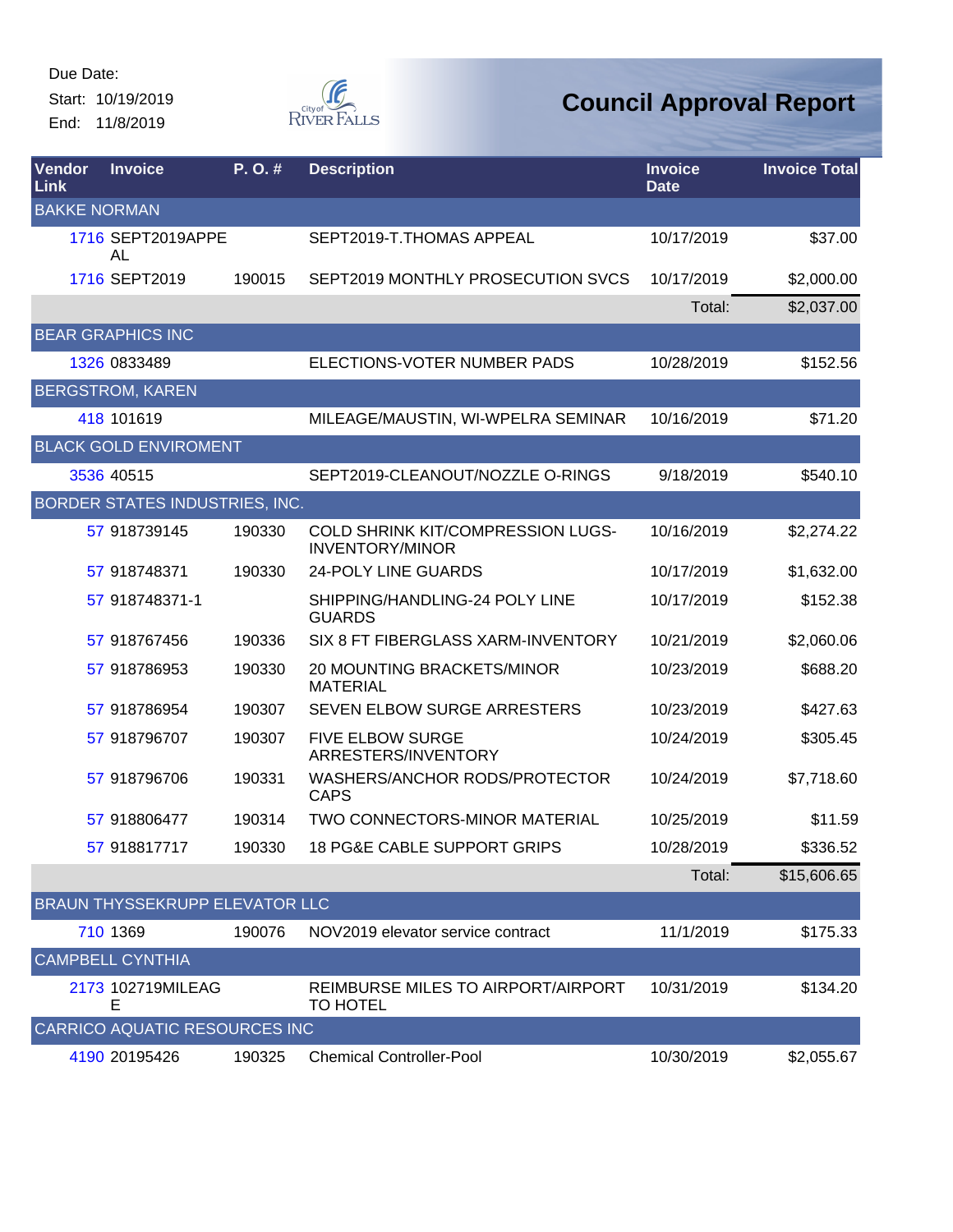End: 11/8/2019



| Vendor<br>Link      | <b>Invoice</b>                       | P.O.#  | <b>Description</b>                                                 | <b>Invoice</b><br><b>Date</b> | <b>Invoice Total</b> |
|---------------------|--------------------------------------|--------|--------------------------------------------------------------------|-------------------------------|----------------------|
| <b>BAKKE NORMAN</b> |                                      |        |                                                                    |                               |                      |
|                     | 1716 SEPT2019APPE<br>AL              |        | SEPT2019-T.THOMAS APPEAL                                           | 10/17/2019                    | \$37.00              |
|                     | 1716 SEPT2019                        | 190015 | SEPT2019 MONTHLY PROSECUTION SVCS                                  | 10/17/2019                    | \$2,000.00           |
|                     |                                      |        |                                                                    | Total:                        | \$2,037.00           |
|                     | <b>BEAR GRAPHICS INC</b>             |        |                                                                    |                               |                      |
|                     | 1326 0833489                         |        | ELECTIONS-VOTER NUMBER PADS                                        | 10/28/2019                    | \$152.56             |
|                     | <b>BERGSTROM, KAREN</b>              |        |                                                                    |                               |                      |
|                     | 418 101619                           |        | MILEAGE/MAUSTIN, WI-WPELRA SEMINAR                                 | 10/16/2019                    | \$71.20              |
|                     | <b>BLACK GOLD ENVIROMENT</b>         |        |                                                                    |                               |                      |
|                     | 3536 40515                           |        | SEPT2019-CLEANOUT/NOZZLE O-RINGS                                   | 9/18/2019                     | \$540.10             |
|                     | BORDER STATES INDUSTRIES, INC.       |        |                                                                    |                               |                      |
|                     | 57 918739145                         | 190330 | <b>COLD SHRINK KIT/COMPRESSION LUGS-</b><br><b>INVENTORY/MINOR</b> | 10/16/2019                    | \$2,274.22           |
|                     | 57 918748371                         | 190330 | <b>24-POLY LINE GUARDS</b>                                         | 10/17/2019                    | \$1,632.00           |
|                     | 57 918748371-1                       |        | SHIPPING/HANDLING-24 POLY LINE<br><b>GUARDS</b>                    | 10/17/2019                    | \$152.38             |
|                     | 57 918767456                         | 190336 | SIX 8 FT FIBERGLASS XARM-INVENTORY                                 | 10/21/2019                    | \$2,060.06           |
|                     | 57 918786953                         | 190330 | 20 MOUNTING BRACKETS/MINOR<br><b>MATERIAL</b>                      | 10/23/2019                    | \$688.20             |
|                     | 57 918786954                         | 190307 | SEVEN ELBOW SURGE ARRESTERS                                        | 10/23/2019                    | \$427.63             |
|                     | 57 918796707                         | 190307 | <b>FIVE ELBOW SURGE</b><br>ARRESTERS/INVENTORY                     | 10/24/2019                    | \$305.45             |
|                     | 57 918796706                         | 190331 | WASHERS/ANCHOR RODS/PROTECTOR<br><b>CAPS</b>                       | 10/24/2019                    | \$7,718.60           |
|                     | 57 918806477                         | 190314 | TWO CONNECTORS-MINOR MATERIAL                                      | 10/25/2019                    | \$11.59              |
|                     | 57 918817717                         | 190330 | 18 PG&E CABLE SUPPORT GRIPS                                        | 10/28/2019                    | \$336.52             |
|                     |                                      |        |                                                                    | Total:                        | \$15,606.65          |
|                     | BRAUN THYSSEKRUPP ELEVATOR LLC       |        |                                                                    |                               |                      |
|                     | 710 1369                             | 190076 | NOV2019 elevator service contract                                  | 11/1/2019                     | \$175.33             |
|                     | <b>CAMPBELL CYNTHIA</b>              |        |                                                                    |                               |                      |
|                     | 2173 102719MILEAG<br>E               |        | REIMBURSE MILES TO AIRPORT/AIRPORT<br><b>TO HOTEL</b>              | 10/31/2019                    | \$134.20             |
|                     | <b>CARRICO AQUATIC RESOURCES INC</b> |        |                                                                    |                               |                      |
|                     | 4190 20195426                        | 190325 | <b>Chemical Controller-Pool</b>                                    | 10/30/2019                    | \$2,055.67           |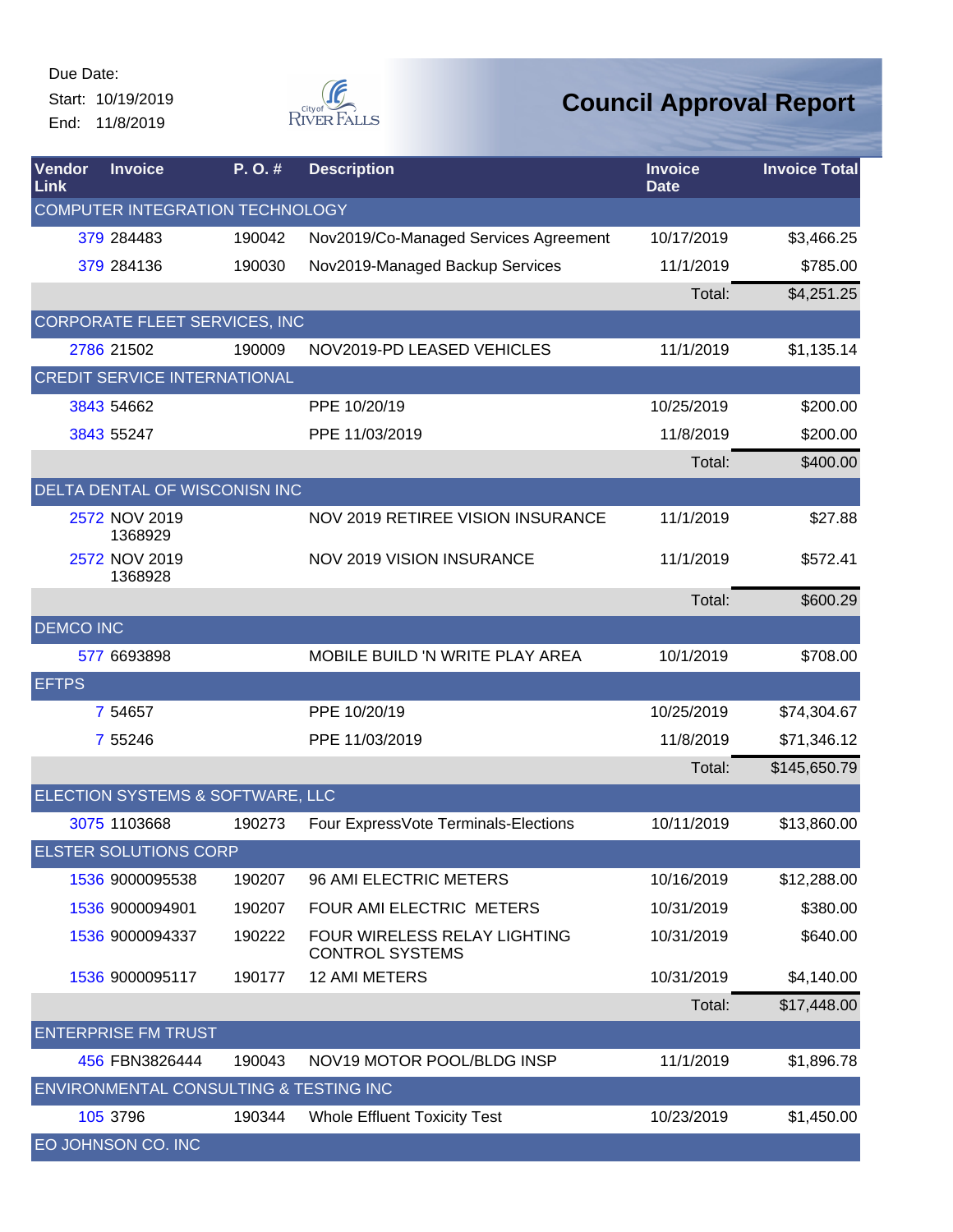Due Date: Start: 10/19/2019 End: 11/8/2019



| <b>Vendor</b><br><b>Link</b> | <b>Invoice</b>                         | P.O.#  | <b>Description</b>                                     | <b>Invoice</b><br><b>Date</b> | <b>Invoice Total</b> |
|------------------------------|----------------------------------------|--------|--------------------------------------------------------|-------------------------------|----------------------|
|                              | COMPUTER INTEGRATION TECHNOLOGY        |        |                                                        |                               |                      |
|                              | 379 284483                             | 190042 | Nov2019/Co-Managed Services Agreement                  | 10/17/2019                    | \$3,466.25           |
|                              | 379 284136                             | 190030 | Nov2019-Managed Backup Services                        | 11/1/2019                     | \$785.00             |
|                              |                                        |        |                                                        | Total:                        | \$4,251.25           |
|                              | CORPORATE FLEET SERVICES, INC          |        |                                                        |                               |                      |
|                              | 2786 21502                             | 190009 | NOV2019-PD LEASED VEHICLES                             | 11/1/2019                     | \$1,135.14           |
|                              | <b>CREDIT SERVICE INTERNATIONAL</b>    |        |                                                        |                               |                      |
|                              | 3843 54662                             |        | PPE 10/20/19                                           | 10/25/2019                    | \$200.00             |
|                              | 3843 55247                             |        | PPE 11/03/2019                                         | 11/8/2019                     | \$200.00             |
|                              |                                        |        |                                                        | Total:                        | \$400.00             |
|                              | <b>DELTA DENTAL OF WISCONISN INC</b>   |        |                                                        |                               |                      |
|                              | 2572 NOV 2019<br>1368929               |        | NOV 2019 RETIREE VISION INSURANCE                      | 11/1/2019                     | \$27.88              |
|                              | 2572 NOV 2019<br>1368928               |        | <b>NOV 2019 VISION INSURANCE</b>                       | 11/1/2019                     | \$572.41             |
|                              |                                        |        |                                                        | Total:                        | \$600.29             |
| <b>DEMCO INC</b>             |                                        |        |                                                        |                               |                      |
|                              | 577 6693898                            |        | MOBILE BUILD 'N WRITE PLAY AREA                        | 10/1/2019                     | \$708.00             |
| <b>EFTPS</b>                 |                                        |        |                                                        |                               |                      |
|                              | 7 54657                                |        | PPE 10/20/19                                           | 10/25/2019                    | \$74,304.67          |
|                              | 7 55246                                |        | PPE 11/03/2019                                         | 11/8/2019                     | \$71,346.12          |
|                              |                                        |        |                                                        | Total:                        | \$145,650.79         |
|                              | ELECTION SYSTEMS & SOFTWARE, LLC       |        |                                                        |                               |                      |
|                              | 3075 1103668                           | 190273 | Four ExpressVote Terminals-Elections                   | 10/11/2019                    | \$13,860.00          |
|                              | <b>ELSTER SOLUTIONS CORP</b>           |        |                                                        |                               |                      |
|                              | 1536 9000095538                        | 190207 | 96 AMI ELECTRIC METERS                                 | 10/16/2019                    | \$12,288.00          |
|                              | 1536 9000094901                        | 190207 | FOUR AMI ELECTRIC METERS                               | 10/31/2019                    | \$380.00             |
|                              | 1536 9000094337                        | 190222 | FOUR WIRELESS RELAY LIGHTING<br><b>CONTROL SYSTEMS</b> | 10/31/2019                    | \$640.00             |
|                              | 1536 9000095117                        | 190177 | <b>12 AMI METERS</b>                                   | 10/31/2019                    | \$4,140.00           |
|                              |                                        |        |                                                        | Total:                        | \$17,448.00          |
|                              | <b>ENTERPRISE FM TRUST</b>             |        |                                                        |                               |                      |
|                              | 456 FBN3826444                         | 190043 | NOV19 MOTOR POOL/BLDG INSP                             | 11/1/2019                     | \$1,896.78           |
|                              | ENVIRONMENTAL CONSULTING & TESTING INC |        |                                                        |                               |                      |
|                              | 105 3796                               | 190344 | <b>Whole Effluent Toxicity Test</b>                    | 10/23/2019                    | \$1,450.00           |
|                              | EO JOHNSON CO. INC                     |        |                                                        |                               |                      |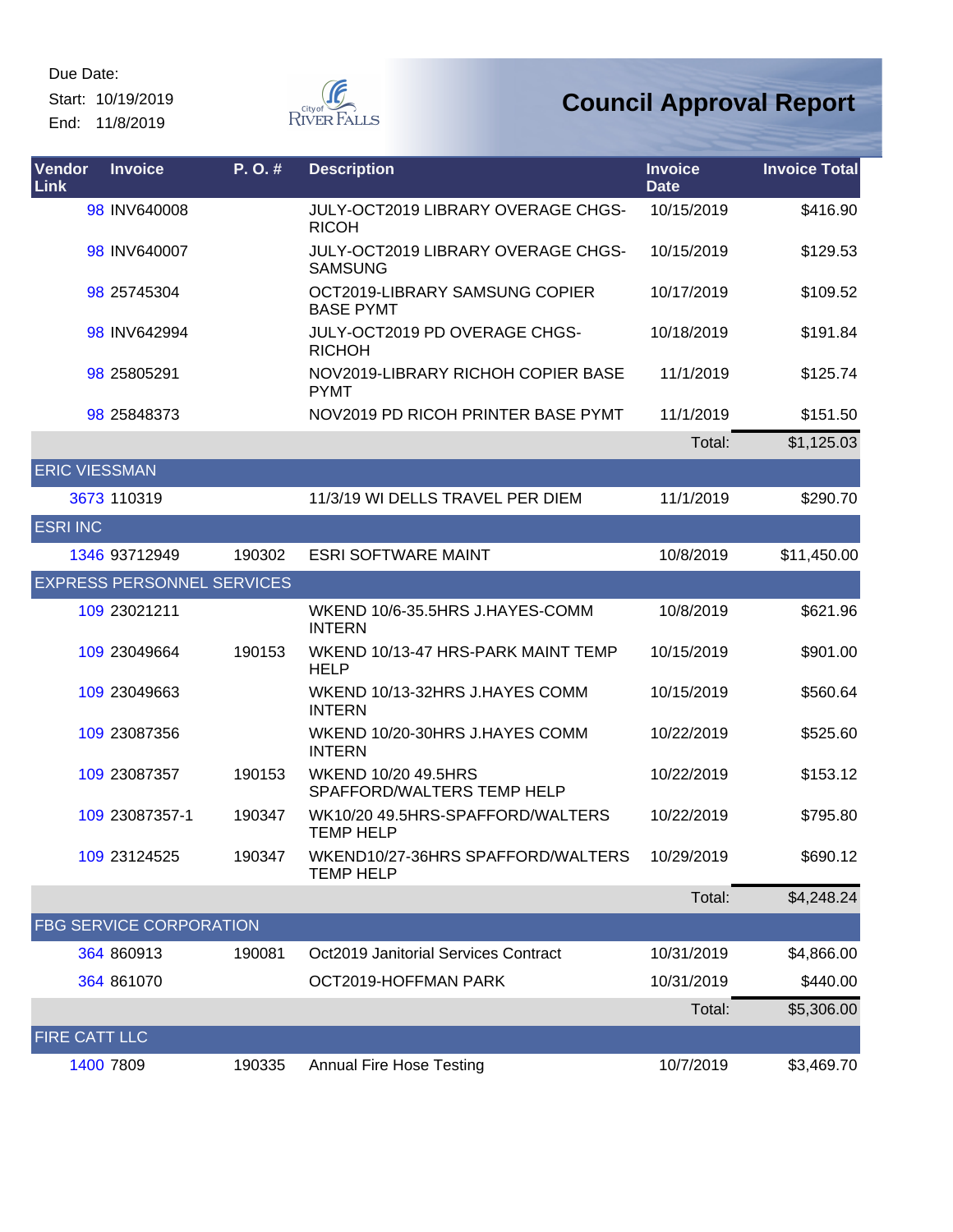Start: 10/19/2019 End: 11/8/2019



| Vendor<br>Link       | <b>Invoice</b>                    | P.O.#  | <b>Description</b>                                    | <b>Invoice</b><br><b>Date</b> | <b>Invoice Total</b> |
|----------------------|-----------------------------------|--------|-------------------------------------------------------|-------------------------------|----------------------|
|                      | 98 INV640008                      |        | JULY-OCT2019 LIBRARY OVERAGE CHGS-<br><b>RICOH</b>    | 10/15/2019                    | \$416.90             |
|                      | 98 INV640007                      |        | JULY-OCT2019 LIBRARY OVERAGE CHGS-<br><b>SAMSUNG</b>  | 10/15/2019                    | \$129.53             |
|                      | 98 25745304                       |        | OCT2019-LIBRARY SAMSUNG COPIER<br><b>BASE PYMT</b>    | 10/17/2019                    | \$109.52             |
|                      | 98 INV642994                      |        | JULY-OCT2019 PD OVERAGE CHGS-<br><b>RICHOH</b>        | 10/18/2019                    | \$191.84             |
|                      | 98 25805291                       |        | NOV2019-LIBRARY RICHOH COPIER BASE<br><b>PYMT</b>     | 11/1/2019                     | \$125.74             |
|                      | 98 25848373                       |        | NOV2019 PD RICOH PRINTER BASE PYMT                    | 11/1/2019                     | \$151.50             |
|                      |                                   |        |                                                       | Total:                        | \$1,125.03           |
| <b>ERIC VIESSMAN</b> |                                   |        |                                                       |                               |                      |
|                      | 3673 110319                       |        | 11/3/19 WI DELLS TRAVEL PER DIEM                      | 11/1/2019                     | \$290.70             |
| <b>ESRI INC</b>      |                                   |        |                                                       |                               |                      |
|                      | 1346 93712949                     | 190302 | <b>ESRI SOFTWARE MAINT</b>                            | 10/8/2019                     | \$11,450.00          |
|                      | <b>EXPRESS PERSONNEL SERVICES</b> |        |                                                       |                               |                      |
|                      | 109 23021211                      |        | WKEND 10/6-35.5HRS J.HAYES-COMM<br><b>INTERN</b>      | 10/8/2019                     | \$621.96             |
|                      | 109 23049664                      | 190153 | WKEND 10/13-47 HRS-PARK MAINT TEMP<br><b>HELP</b>     | 10/15/2019                    | \$901.00             |
|                      | 109 23049663                      |        | WKEND 10/13-32HRS J.HAYES COMM<br><b>INTERN</b>       | 10/15/2019                    | \$560.64             |
|                      | 109 23087356                      |        | WKEND 10/20-30HRS J.HAYES COMM<br><b>INTERN</b>       | 10/22/2019                    | \$525.60             |
|                      | 109 23087357                      | 190153 | WKEND 10/20 49.5HRS<br>SPAFFORD/WALTERS TEMP HELP     | 10/22/2019                    | \$153.12             |
|                      | 109 23087357-1                    | 190347 | WK10/20 49.5HRS-SPAFFORD/WALTERS<br><b>TEMP HELP</b>  | 10/22/2019                    | \$795.80             |
|                      | 109 23124525                      | 190347 | WKEND10/27-36HRS SPAFFORD/WALTERS<br><b>TEMP HELP</b> | 10/29/2019                    | \$690.12             |
|                      |                                   |        |                                                       | Total:                        | \$4,248.24           |
|                      | <b>FBG SERVICE CORPORATION</b>    |        |                                                       |                               |                      |
|                      | 364 860913                        | 190081 | <b>Oct2019 Janitorial Services Contract</b>           | 10/31/2019                    | \$4,866.00           |
|                      | 364 861070                        |        | OCT2019-HOFFMAN PARK                                  | 10/31/2019                    | \$440.00             |
|                      |                                   |        |                                                       | Total:                        | \$5,306.00           |
| FIRE CATT LLC        |                                   |        |                                                       |                               |                      |
|                      | 1400 7809                         | 190335 | <b>Annual Fire Hose Testing</b>                       | 10/7/2019                     | \$3,469.70           |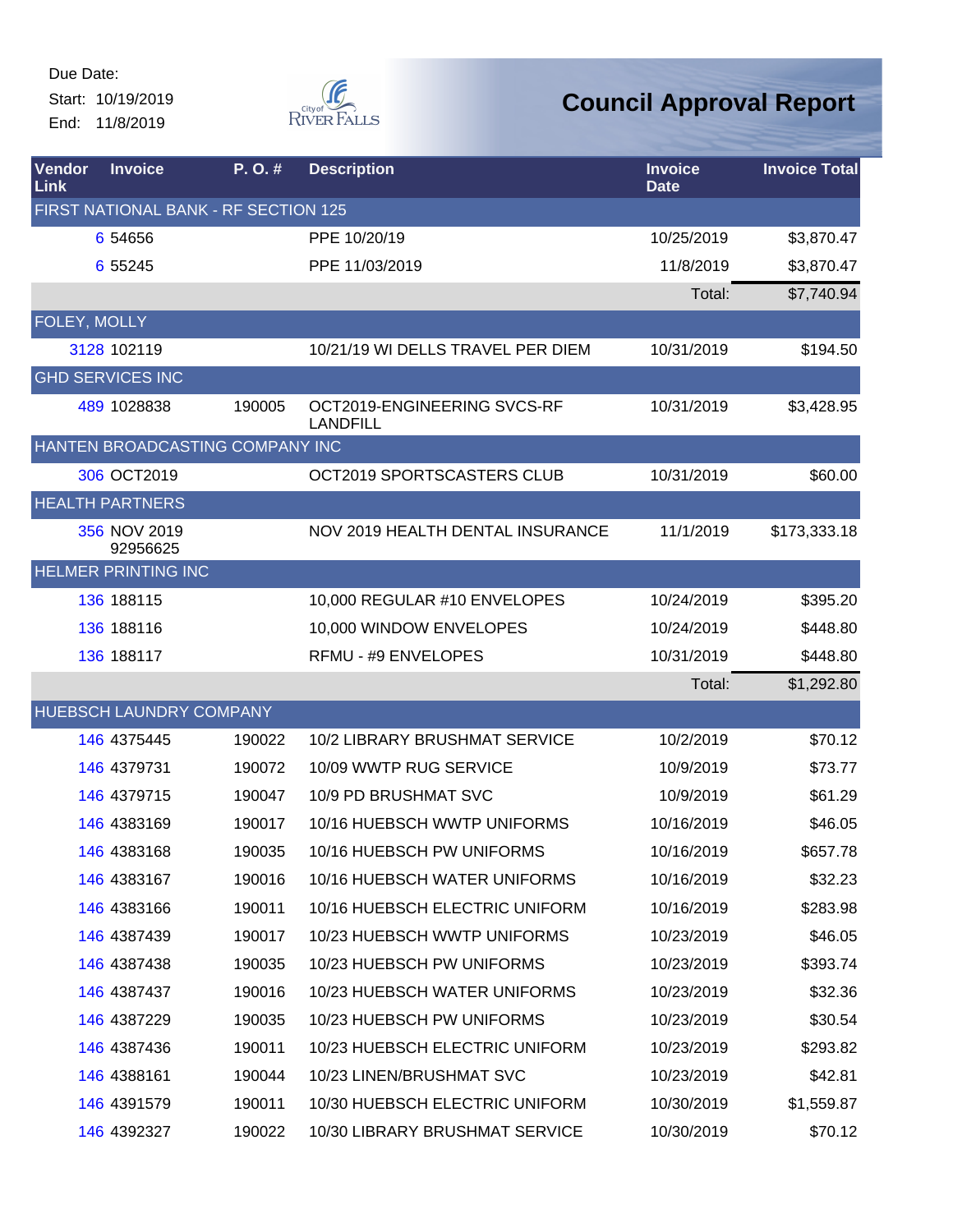Due Date: Start: 10/19/2019 End: 11/8/2019



| Vendor<br>Link | <b>Invoice</b>                       | P.O.#  | <b>Description</b>                             | <b>Invoice</b><br><b>Date</b> | <b>Invoice Total</b> |
|----------------|--------------------------------------|--------|------------------------------------------------|-------------------------------|----------------------|
|                | FIRST NATIONAL BANK - RF SECTION 125 |        |                                                |                               |                      |
|                | 6 54 656                             |        | PPE 10/20/19                                   | 10/25/2019                    | \$3,870.47           |
|                | 6 55245                              |        | PPE 11/03/2019                                 | 11/8/2019                     | \$3,870.47           |
|                |                                      |        |                                                | Total:                        | \$7,740.94           |
| FOLEY, MOLLY   |                                      |        |                                                |                               |                      |
|                | 3128 102119                          |        | 10/21/19 WI DELLS TRAVEL PER DIEM              | 10/31/2019                    | \$194.50             |
|                | <b>GHD SERVICES INC</b>              |        |                                                |                               |                      |
|                | 489 1028838                          | 190005 | OCT2019-ENGINEERING SVCS-RF<br><b>LANDFILL</b> | 10/31/2019                    | \$3,428.95           |
|                | HANTEN BROADCASTING COMPANY INC      |        |                                                |                               |                      |
|                | 306 OCT2019                          |        | OCT2019 SPORTSCASTERS CLUB                     | 10/31/2019                    | \$60.00              |
|                | <b>HEALTH PARTNERS</b>               |        |                                                |                               |                      |
|                | 356 NOV 2019<br>92956625             |        | NOV 2019 HEALTH DENTAL INSURANCE               | 11/1/2019                     | \$173,333.18         |
|                | <b>HELMER PRINTING INC</b>           |        |                                                |                               |                      |
|                | 136 188115                           |        | 10,000 REGULAR #10 ENVELOPES                   | 10/24/2019                    | \$395.20             |
|                | 136 188116                           |        | 10,000 WINDOW ENVELOPES                        | 10/24/2019                    | \$448.80             |
|                | 136 188117                           |        | RFMU - #9 ENVELOPES                            | 10/31/2019                    | \$448.80             |
|                |                                      |        |                                                | Total:                        | \$1,292.80           |
|                | HUEBSCH LAUNDRY COMPANY              |        |                                                |                               |                      |
|                | 146 4375445                          | 190022 | 10/2 LIBRARY BRUSHMAT SERVICE                  | 10/2/2019                     | \$70.12              |
|                | 146 4379731                          | 190072 | 10/09 WWTP RUG SERVICE                         | 10/9/2019                     | \$73.77              |
|                | 146 4379715                          | 190047 | 10/9 PD BRUSHMAT SVC                           | 10/9/2019                     | \$61.29              |
|                | 146 4383169                          | 190017 | 10/16 HUEBSCH WWTP UNIFORMS                    | 10/16/2019                    | \$46.05              |
|                | 146 4383168                          | 190035 | 10/16 HUEBSCH PW UNIFORMS                      | 10/16/2019                    | \$657.78             |
|                | <b>146 4383167</b>                   | 190016 | 10/16 HUEBSCH WATER UNIFORMS                   | 10/16/2019                    | \$32.23              |
|                | 146 4383166                          | 190011 | 10/16 HUEBSCH ELECTRIC UNIFORM                 | 10/16/2019                    | \$283.98             |
|                | 146 4387439                          | 190017 | 10/23 HUEBSCH WWTP UNIFORMS                    | 10/23/2019                    | \$46.05              |
|                | 146 4387438                          | 190035 | 10/23 HUEBSCH PW UNIFORMS                      | 10/23/2019                    | \$393.74             |
|                | 146 4387437                          | 190016 | 10/23 HUEBSCH WATER UNIFORMS                   | 10/23/2019                    | \$32.36              |
|                | 146 4387229                          | 190035 | 10/23 HUEBSCH PW UNIFORMS                      | 10/23/2019                    | \$30.54              |
|                | 146 4387436                          | 190011 | 10/23 HUEBSCH ELECTRIC UNIFORM                 | 10/23/2019                    | \$293.82             |
|                | 146 4388161                          | 190044 | 10/23 LINEN/BRUSHMAT SVC                       | 10/23/2019                    | \$42.81              |
|                | 146 4391579                          | 190011 | 10/30 HUEBSCH ELECTRIC UNIFORM                 | 10/30/2019                    | \$1,559.87           |
|                | 146 4392327                          | 190022 | 10/30 LIBRARY BRUSHMAT SERVICE                 | 10/30/2019                    | \$70.12              |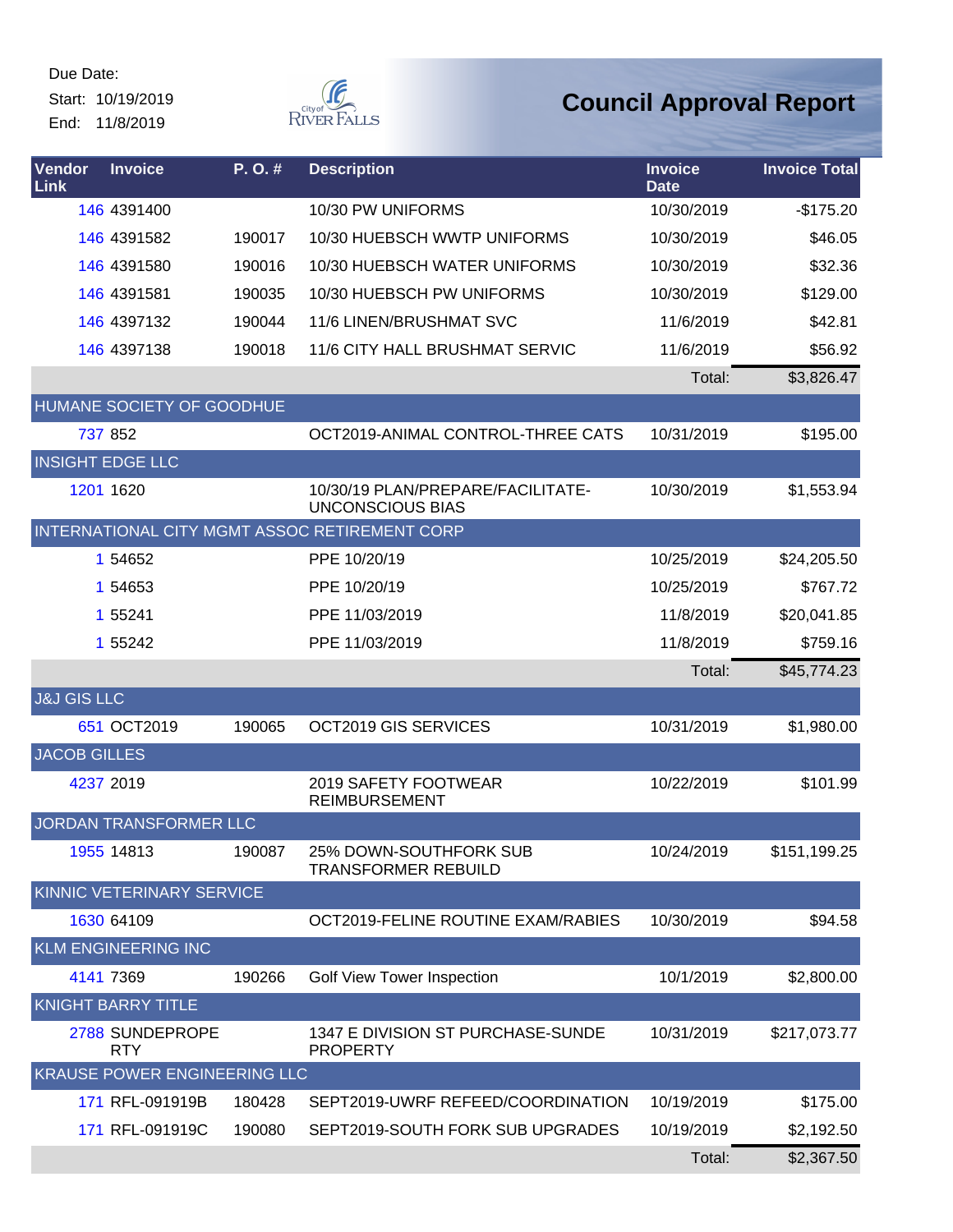Start: 10/19/2019 End: 11/8/2019



| Vendor<br>Link         | <b>Invoice</b>                      | P.O.#  | <b>Description</b>                                           | <b>Invoice</b><br><b>Date</b> | <b>Invoice Total</b> |
|------------------------|-------------------------------------|--------|--------------------------------------------------------------|-------------------------------|----------------------|
|                        | 146 4391400                         |        | 10/30 PW UNIFORMS                                            | 10/30/2019                    | $-$175.20$           |
|                        | 146 4391582                         | 190017 | 10/30 HUEBSCH WWTP UNIFORMS                                  | 10/30/2019                    | \$46.05              |
|                        | 146 4391580                         | 190016 | 10/30 HUEBSCH WATER UNIFORMS                                 | 10/30/2019                    | \$32.36              |
|                        | 146 4391581                         | 190035 | 10/30 HUEBSCH PW UNIFORMS                                    | 10/30/2019                    | \$129.00             |
|                        | 146 4397132                         | 190044 | 11/6 LINEN/BRUSHMAT SVC                                      | 11/6/2019                     | \$42.81              |
|                        | 146 4397138                         | 190018 | 11/6 CITY HALL BRUSHMAT SERVIC                               | 11/6/2019                     | \$56.92              |
|                        |                                     |        |                                                              | Total:                        | \$3,826.47           |
|                        | HUMANE SOCIETY OF GOODHUE           |        |                                                              |                               |                      |
|                        | 737 852                             |        | OCT2019-ANIMAL CONTROL-THREE CATS                            | 10/31/2019                    | \$195.00             |
|                        | <b>INSIGHT EDGE LLC</b>             |        |                                                              |                               |                      |
|                        | 1201 1620                           |        | 10/30/19 PLAN/PREPARE/FACILITATE-<br><b>UNCONSCIOUS BIAS</b> | 10/30/2019                    | \$1,553.94           |
|                        |                                     |        | INTERNATIONAL CITY MGMT ASSOC RETIREMENT CORP                |                               |                      |
|                        | 1 54652                             |        | PPE 10/20/19                                                 | 10/25/2019                    | \$24,205.50          |
|                        | 1 54653                             |        | PPE 10/20/19                                                 | 10/25/2019                    | \$767.72             |
|                        | 1 55241                             |        | PPE 11/03/2019                                               | 11/8/2019                     | \$20,041.85          |
|                        | 1 55242                             |        | PPE 11/03/2019                                               | 11/8/2019                     | \$759.16             |
|                        |                                     |        |                                                              | Total:                        | \$45,774.23          |
| <b>J&amp;J GIS LLC</b> |                                     |        |                                                              |                               |                      |
|                        | 651 OCT2019                         | 190065 | OCT2019 GIS SERVICES                                         | 10/31/2019                    | \$1,980.00           |
| <b>JACOB GILLES</b>    |                                     |        |                                                              |                               |                      |
|                        | 4237 2019                           |        | 2019 SAFETY FOOTWEAR<br><b>REIMBURSEMENT</b>                 | 10/22/2019                    | \$101.99             |
|                        | JORDAN TRANSFORMER LLC              |        |                                                              |                               |                      |
|                        | 1955 14813                          | 190087 | 25% DOWN-SOUTHFORK SUB<br><b>TRANSFORMER REBUILD</b>         | 10/24/2019                    | \$151,199.25         |
|                        | KINNIC VETERINARY SERVICE           |        |                                                              |                               |                      |
|                        | 1630 64109                          |        | OCT2019-FELINE ROUTINE EXAM/RABIES                           | 10/30/2019                    | \$94.58              |
|                        | <b>KLM ENGINEERING INC</b>          |        |                                                              |                               |                      |
|                        | 4141 7369                           | 190266 | Golf View Tower Inspection                                   | 10/1/2019                     | \$2,800.00           |
|                        | <b>KNIGHT BARRY TITLE</b>           |        |                                                              |                               |                      |
|                        | 2788 SUNDEPROPE<br><b>RTY</b>       |        | 1347 E DIVISION ST PURCHASE-SUNDE<br><b>PROPERTY</b>         | 10/31/2019                    | \$217,073.77         |
|                        | <b>KRAUSE POWER ENGINEERING LLC</b> |        |                                                              |                               |                      |
|                        | 171 RFL-091919B                     | 180428 | SEPT2019-UWRF REFEED/COORDINATION                            | 10/19/2019                    | \$175.00             |
|                        | 171 RFL-091919C                     | 190080 | SEPT2019-SOUTH FORK SUB UPGRADES                             | 10/19/2019                    | \$2,192.50           |
|                        |                                     |        |                                                              | Total:                        | \$2,367.50           |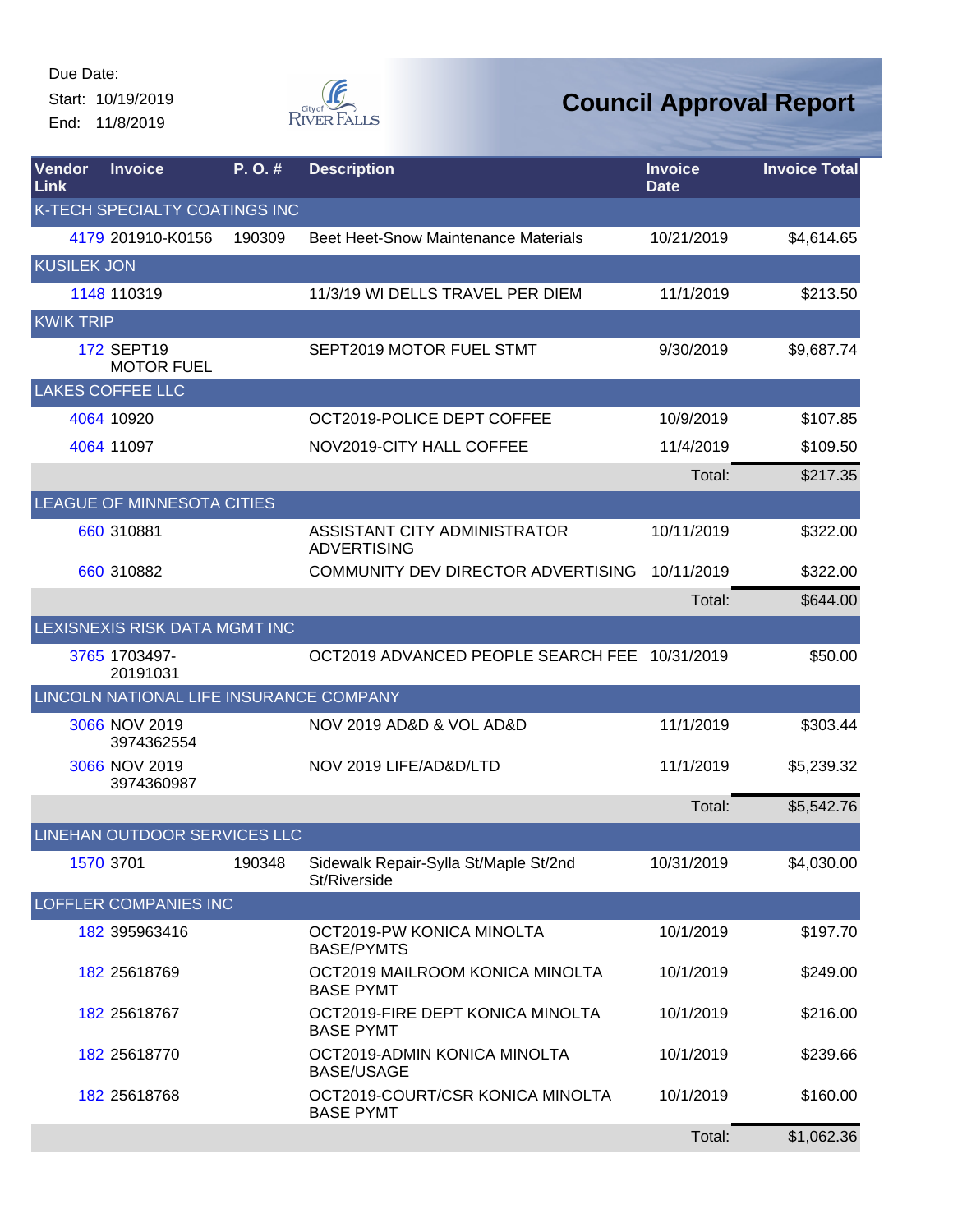Start: 10/19/2019 End: 11/8/2019



| Vendor<br>Link     | <b>Invoice</b>                          | P. O. # | <b>Description</b>                                    | <b>Invoice</b><br><b>Date</b> | <b>Invoice Total</b> |
|--------------------|-----------------------------------------|---------|-------------------------------------------------------|-------------------------------|----------------------|
|                    | K-TECH SPECIALTY COATINGS INC           |         |                                                       |                               |                      |
|                    | 4179 201910-K0156                       | 190309  | <b>Beet Heet-Snow Maintenance Materials</b>           | 10/21/2019                    | \$4,614.65           |
| <b>KUSILEK JON</b> |                                         |         |                                                       |                               |                      |
|                    | 1148 110319                             |         | 11/3/19 WI DELLS TRAVEL PER DIEM                      | 11/1/2019                     | \$213.50             |
| <b>KWIK TRIP</b>   |                                         |         |                                                       |                               |                      |
|                    | 172 SEPT19<br><b>MOTOR FUEL</b>         |         | SEPT2019 MOTOR FUEL STMT                              | 9/30/2019                     | \$9,687.74           |
|                    | <b>LAKES COFFEE LLC</b>                 |         |                                                       |                               |                      |
|                    | 4064 10920                              |         | OCT2019-POLICE DEPT COFFEE                            | 10/9/2019                     | \$107.85             |
|                    | 4064 11097                              |         | NOV2019-CITY HALL COFFEE                              | 11/4/2019                     | \$109.50             |
|                    |                                         |         |                                                       | Total:                        | \$217.35             |
|                    | LEAGUE OF MINNESOTA CITIES              |         |                                                       |                               |                      |
|                    | 660 310881                              |         | ASSISTANT CITY ADMINISTRATOR<br><b>ADVERTISING</b>    | 10/11/2019                    | \$322.00             |
|                    | 660 310882                              |         | COMMUNITY DEV DIRECTOR ADVERTISING                    | 10/11/2019                    | \$322.00             |
|                    |                                         |         |                                                       | Total:                        | \$644.00             |
|                    | LEXISNEXIS RISK DATA MGMT INC           |         |                                                       |                               |                      |
|                    | 3765 1703497-<br>20191031               |         | OCT2019 ADVANCED PEOPLE SEARCH FEE 10/31/2019         |                               | \$50.00              |
|                    | LINCOLN NATIONAL LIFE INSURANCE COMPANY |         |                                                       |                               |                      |
|                    | 3066 NOV 2019<br>3974362554             |         | NOV 2019 AD&D & VOL AD&D                              | 11/1/2019                     | \$303.44             |
|                    | 3066 NOV 2019<br>3974360987             |         | NOV 2019 LIFE/AD&D/LTD                                | 11/1/2019                     | \$5,239.32           |
|                    |                                         |         |                                                       | Total:                        | \$5,542.76           |
|                    | LINEHAN OUTDOOR SERVICES LLC            |         |                                                       |                               |                      |
|                    | 1570 3701                               | 190348  | Sidewalk Repair-Sylla St/Maple St/2nd<br>St/Riverside | 10/31/2019                    | \$4,030.00           |
|                    | <b>LOFFLER COMPANIES INC</b>            |         |                                                       |                               |                      |
|                    | 182 395963416                           |         | OCT2019-PW KONICA MINOLTA<br><b>BASE/PYMTS</b>        | 10/1/2019                     | \$197.70             |
|                    | 182 25618769                            |         | OCT2019 MAILROOM KONICA MINOLTA<br><b>BASE PYMT</b>   | 10/1/2019                     | \$249.00             |
|                    | 182 25618767                            |         | OCT2019-FIRE DEPT KONICA MINOLTA<br><b>BASE PYMT</b>  | 10/1/2019                     | \$216.00             |
|                    | 182 25618770                            |         | OCT2019-ADMIN KONICA MINOLTA<br><b>BASE/USAGE</b>     | 10/1/2019                     | \$239.66             |
|                    | 182 25618768                            |         | OCT2019-COURT/CSR KONICA MINOLTA<br><b>BASE PYMT</b>  | 10/1/2019                     | \$160.00             |
|                    |                                         |         |                                                       | Total:                        | \$1,062.36           |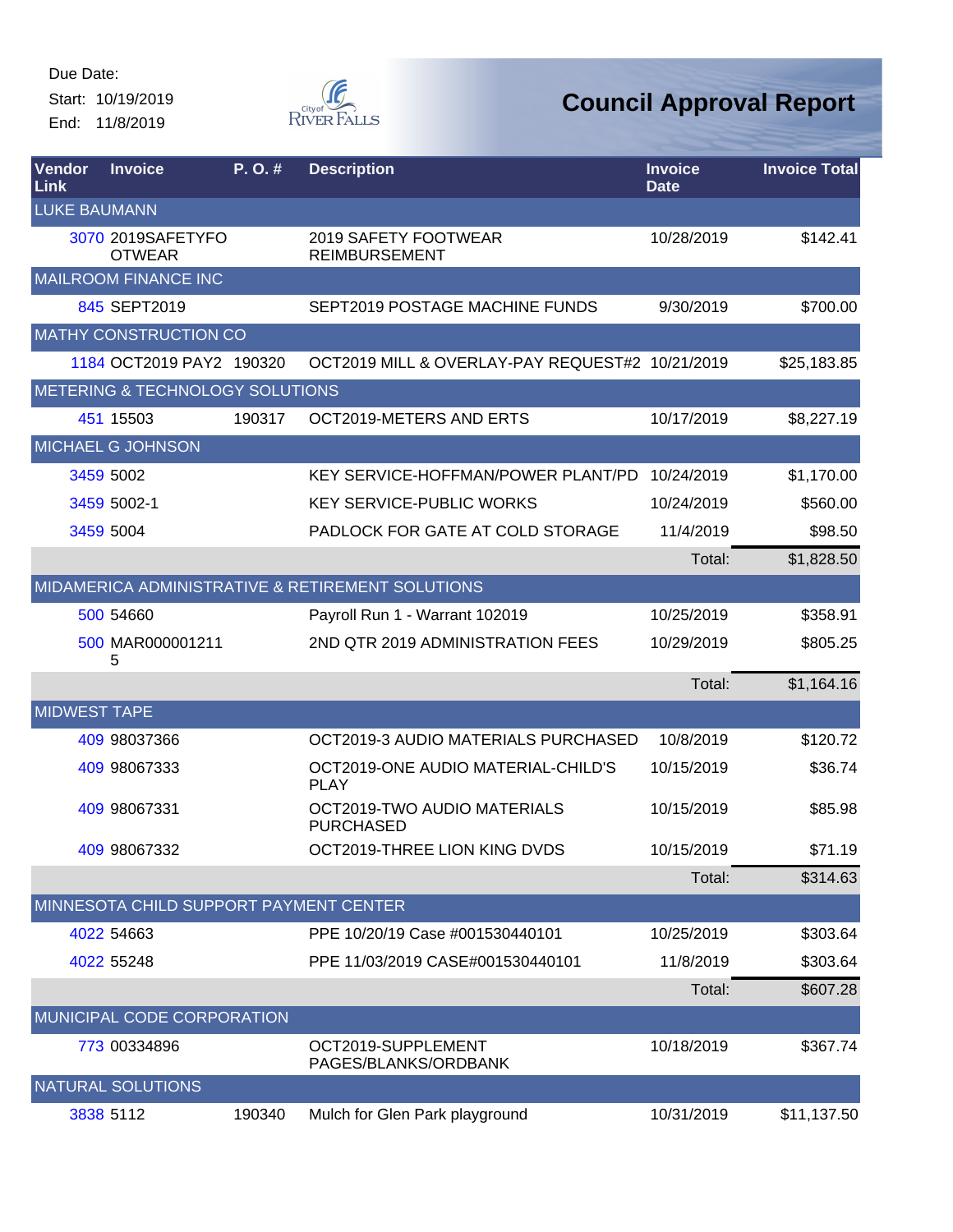End: 11/8/2019



| Vendor<br>Link      | <b>Invoice</b>                         | P.O.#  | <b>Description</b>                                | <b>Invoice</b><br><b>Date</b> | <b>Invoice Total</b> |
|---------------------|----------------------------------------|--------|---------------------------------------------------|-------------------------------|----------------------|
| <b>LUKE BAUMANN</b> |                                        |        |                                                   |                               |                      |
|                     | 3070 2019SAFETYFO<br><b>OTWEAR</b>     |        | 2019 SAFETY FOOTWEAR<br><b>REIMBURSEMENT</b>      | 10/28/2019                    | \$142.41             |
|                     | <b>MAILROOM FINANCE INC</b>            |        |                                                   |                               |                      |
|                     | 845 SEPT2019                           |        | SEPT2019 POSTAGE MACHINE FUNDS                    | 9/30/2019                     | \$700.00             |
|                     | <b>MATHY CONSTRUCTION CO</b>           |        |                                                   |                               |                      |
|                     | 1184 OCT2019 PAY2 190320               |        | OCT2019 MILL & OVERLAY-PAY REQUEST#2 10/21/2019   |                               | \$25,183.85          |
|                     | METERING & TECHNOLOGY SOLUTIONS        |        |                                                   |                               |                      |
|                     | 451 15503                              | 190317 | OCT2019-METERS AND ERTS                           | 10/17/2019                    | \$8,227.19           |
|                     | <b>MICHAEL G JOHNSON</b>               |        |                                                   |                               |                      |
|                     | 3459 5002                              |        | <b>KEY SERVICE-HOFFMAN/POWER PLANT/PD</b>         | 10/24/2019                    | \$1,170.00           |
|                     | 3459 5002-1                            |        | <b>KEY SERVICE-PUBLIC WORKS</b>                   | 10/24/2019                    | \$560.00             |
|                     | 3459 5004                              |        | PADLOCK FOR GATE AT COLD STORAGE                  | 11/4/2019                     | \$98.50              |
|                     |                                        |        |                                                   | Total:                        | \$1,828.50           |
|                     |                                        |        | MIDAMERICA ADMINISTRATIVE & RETIREMENT SOLUTIONS  |                               |                      |
|                     | 500 54660                              |        | Payroll Run 1 - Warrant 102019                    | 10/25/2019                    | \$358.91             |
|                     | 500 MAR000001211<br>5                  |        | 2ND QTR 2019 ADMINISTRATION FEES                  | 10/29/2019                    | \$805.25             |
|                     |                                        |        |                                                   | Total:                        | \$1,164.16           |
| <b>MIDWEST TAPE</b> |                                        |        |                                                   |                               |                      |
|                     | 409 98037366                           |        | OCT2019-3 AUDIO MATERIALS PURCHASED               | 10/8/2019                     | \$120.72             |
|                     | 409 98067333                           |        | OCT2019-ONE AUDIO MATERIAL-CHILD'S<br><b>PLAY</b> | 10/15/2019                    | \$36.74              |
|                     | 409 98067331                           |        | OCT2019-TWO AUDIO MATERIALS<br><b>PURCHASED</b>   | 10/15/2019                    | \$85.98              |
|                     | 409 98067332                           |        | OCT2019-THREE LION KING DVDS                      | 10/15/2019                    | \$71.19              |
|                     |                                        |        |                                                   | Total:                        | \$314.63             |
|                     | MINNESOTA CHILD SUPPORT PAYMENT CENTER |        |                                                   |                               |                      |
|                     | 4022 54663                             |        | PPE 10/20/19 Case #001530440101                   | 10/25/2019                    | \$303.64             |
|                     | 4022 55248                             |        | PPE 11/03/2019 CASE#001530440101                  | 11/8/2019                     | \$303.64             |
|                     |                                        |        |                                                   | Total:                        | \$607.28             |
|                     | MUNICIPAL CODE CORPORATION             |        |                                                   |                               |                      |
|                     | 773 00334896                           |        | OCT2019-SUPPLEMENT<br>PAGES/BLANKS/ORDBANK        | 10/18/2019                    | \$367.74             |
|                     | NATURAL SOLUTIONS                      |        |                                                   |                               |                      |
|                     | 3838 5112                              | 190340 | Mulch for Glen Park playground                    | 10/31/2019                    | \$11,137.50          |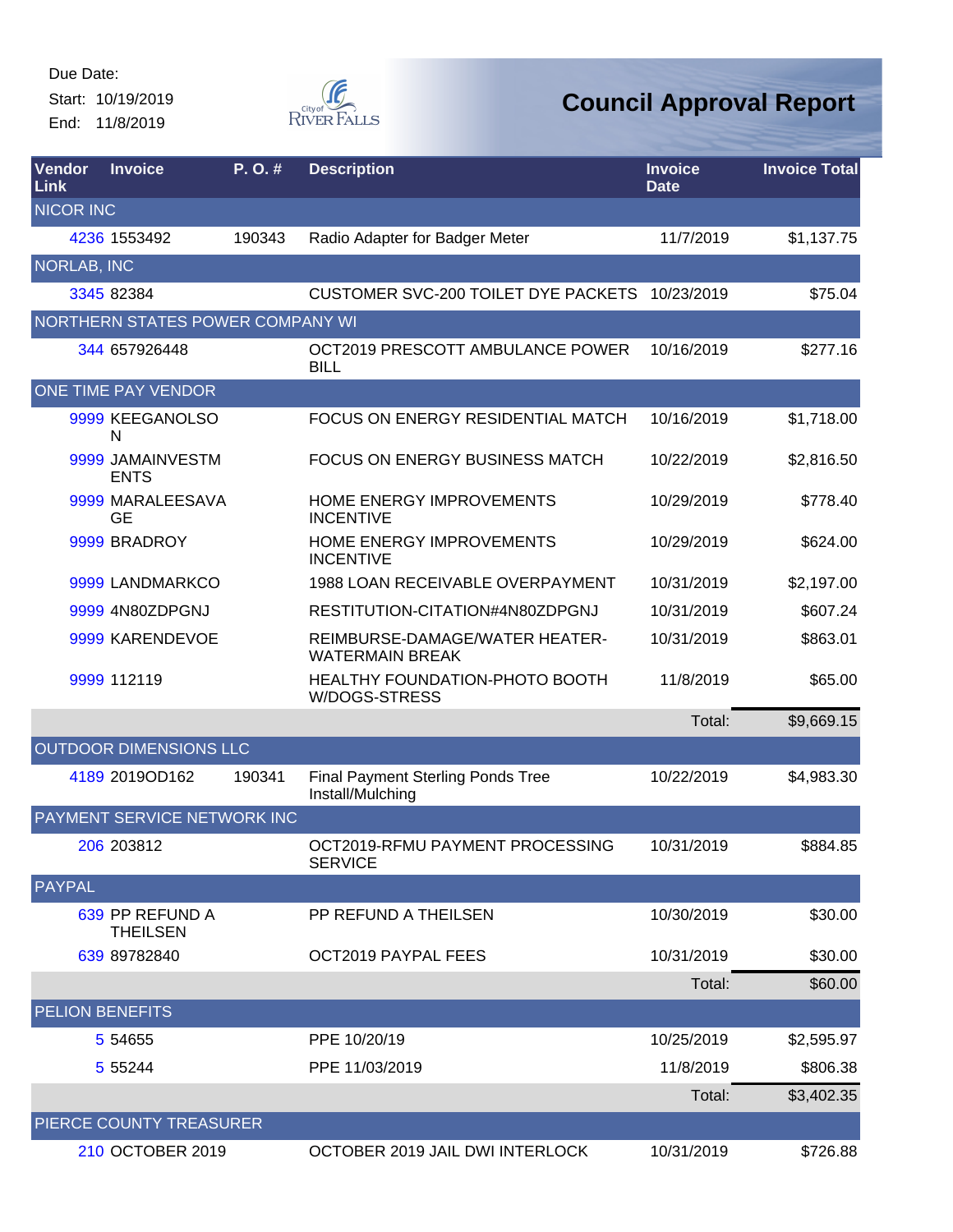Start: 10/19/2019 End: 11/8/2019



| Vendor<br>Link         | <b>Invoice</b>                     | $P. O.$ # | <b>Description</b>                                           | <b>Invoice</b><br><b>Date</b> | <b>Invoice Total</b> |
|------------------------|------------------------------------|-----------|--------------------------------------------------------------|-------------------------------|----------------------|
| <b>NICOR INC</b>       |                                    |           |                                                              |                               |                      |
|                        | 4236 1553492                       | 190343    | Radio Adapter for Badger Meter                               | 11/7/2019                     | \$1,137.75           |
| <b>NORLAB, INC</b>     |                                    |           |                                                              |                               |                      |
|                        | 3345 82384                         |           | CUSTOMER SVC-200 TOILET DYE PACKETS 10/23/2019               |                               | \$75.04              |
|                        | NORTHERN STATES POWER COMPANY WI   |           |                                                              |                               |                      |
|                        | 344 657926448                      |           | OCT2019 PRESCOTT AMBULANCE POWER<br><b>BILL</b>              | 10/16/2019                    | \$277.16             |
|                        | ONE TIME PAY VENDOR                |           |                                                              |                               |                      |
|                        | 9999 KEEGANOLSO<br>N               |           | FOCUS ON ENERGY RESIDENTIAL MATCH                            | 10/16/2019                    | \$1,718.00           |
|                        | 9999 JAMAINVESTM<br><b>ENTS</b>    |           | FOCUS ON ENERGY BUSINESS MATCH                               | 10/22/2019                    | \$2,816.50           |
|                        | 9999 MARALEESAVA<br><b>GE</b>      |           | HOME ENERGY IMPROVEMENTS<br><b>INCENTIVE</b>                 | 10/29/2019                    | \$778.40             |
|                        | 9999 BRADROY                       |           | HOME ENERGY IMPROVEMENTS<br><b>INCENTIVE</b>                 | 10/29/2019                    | \$624.00             |
|                        | 9999 LANDMARKCO                    |           | 1988 LOAN RECEIVABLE OVERPAYMENT                             | 10/31/2019                    | \$2,197.00           |
|                        | 9999 4N80ZDPGNJ                    |           | RESTITUTION-CITATION#4N80ZDPGNJ                              | 10/31/2019                    | \$607.24             |
|                        | 9999 KARENDEVOE                    |           | REIMBURSE-DAMAGE/WATER HEATER-<br><b>WATERMAIN BREAK</b>     | 10/31/2019                    | \$863.01             |
|                        | 9999 112119                        |           | HEALTHY FOUNDATION-PHOTO BOOTH<br>W/DOGS-STRESS              | 11/8/2019                     | \$65.00              |
|                        |                                    |           |                                                              | Total:                        | \$9,669.15           |
|                        | OUTDOOR DIMENSIONS LLC             |           |                                                              |                               |                      |
|                        | 4189 2019OD162                     | 190341    | <b>Final Payment Sterling Ponds Tree</b><br>Install/Mulching | 10/22/2019                    | \$4,983.30           |
|                        | PAYMENT SERVICE NETWORK INC        |           |                                                              |                               |                      |
|                        | 206 203812                         |           | OCT2019-RFMU PAYMENT PROCESSING<br><b>SERVICE</b>            | 10/31/2019                    | \$884.85             |
| <b>PAYPAL</b>          |                                    |           |                                                              |                               |                      |
|                        | 639 PP REFUND A<br><b>THEILSEN</b> |           | PP REFUND A THEILSEN                                         | 10/30/2019                    | \$30.00              |
|                        | 639 89782840                       |           | OCT2019 PAYPAL FEES                                          | 10/31/2019                    | \$30.00              |
|                        |                                    |           |                                                              | Total:                        | \$60.00              |
| <b>PELION BENEFITS</b> |                                    |           |                                                              |                               |                      |
|                        | 5 54 655                           |           | PPE 10/20/19                                                 | 10/25/2019                    | \$2,595.97           |
|                        | 5 5 5 2 4 4                        |           | PPE 11/03/2019                                               | 11/8/2019                     | \$806.38             |
|                        |                                    |           |                                                              | Total:                        | \$3,402.35           |
|                        | PIERCE COUNTY TREASURER            |           |                                                              |                               |                      |
|                        | 210 OCTOBER 2019                   |           | OCTOBER 2019 JAIL DWI INTERLOCK                              | 10/31/2019                    | \$726.88             |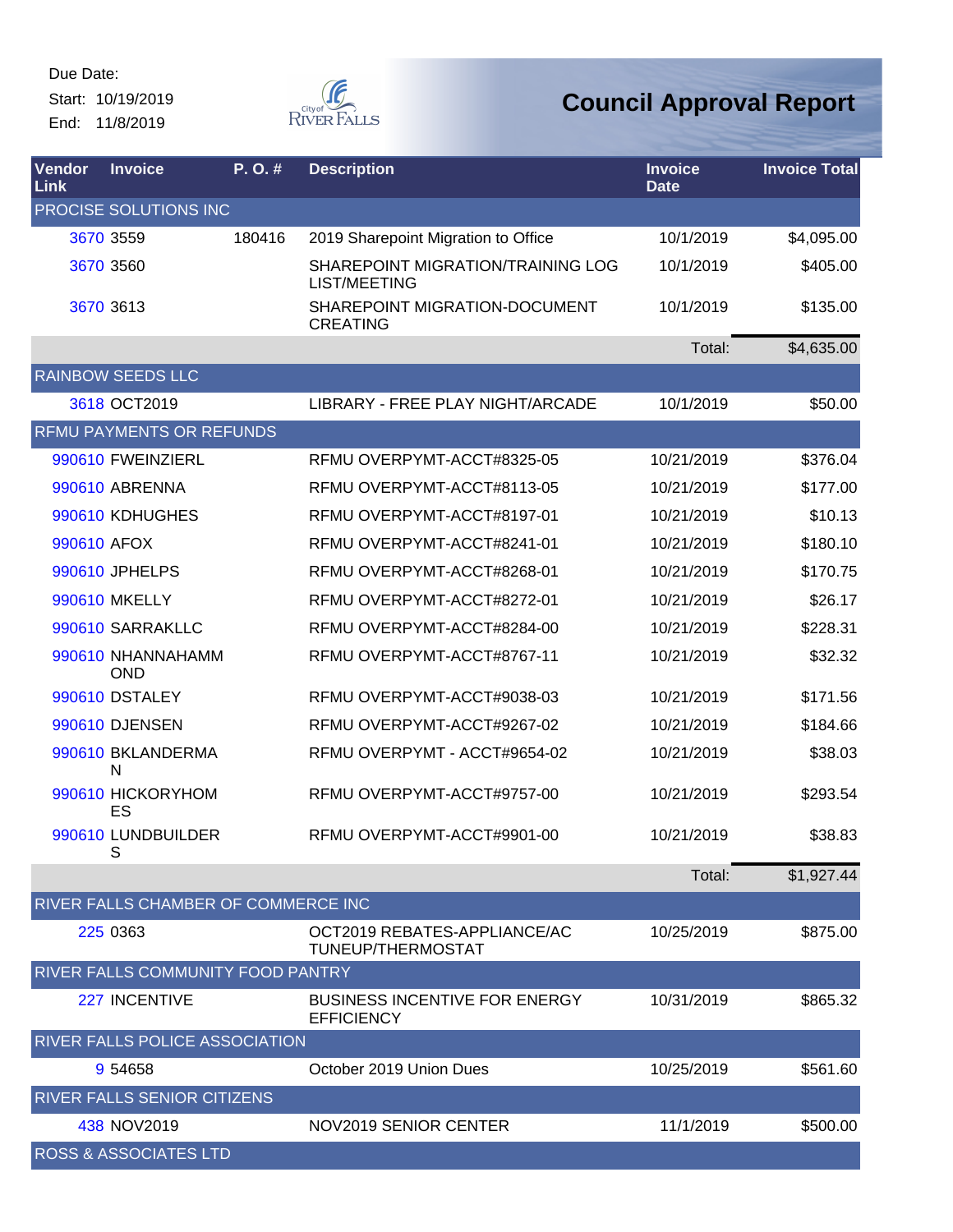End: 11/8/2019



| Vendor<br>Link | <b>Invoice</b>                        | $P. O.$ # | <b>Description</b>                                        | <b>Invoice</b><br><b>Date</b> | <b>Invoice Total</b> |
|----------------|---------------------------------------|-----------|-----------------------------------------------------------|-------------------------------|----------------------|
|                | PROCISE SOLUTIONS INC                 |           |                                                           |                               |                      |
|                | 3670 3559                             | 180416    | 2019 Sharepoint Migration to Office                       | 10/1/2019                     | \$4,095.00           |
|                | 3670 3560                             |           | SHAREPOINT MIGRATION/TRAINING LOG<br><b>LIST/MEETING</b>  | 10/1/2019                     | \$405.00             |
|                | 3670 3613                             |           | SHAREPOINT MIGRATION-DOCUMENT<br><b>CREATING</b>          | 10/1/2019                     | \$135.00             |
|                |                                       |           |                                                           | Total:                        | \$4,635.00           |
|                | <b>RAINBOW SEEDS LLC</b>              |           |                                                           |                               |                      |
|                | 3618 OCT2019                          |           | LIBRARY - FREE PLAY NIGHT/ARCADE                          | 10/1/2019                     | \$50.00              |
|                | <b>RFMU PAYMENTS OR REFUNDS</b>       |           |                                                           |                               |                      |
|                | 990610 FWEINZIERL                     |           | RFMU OVERPYMT-ACCT#8325-05                                | 10/21/2019                    | \$376.04             |
|                | 990610 ABRENNA                        |           | RFMU OVERPYMT-ACCT#8113-05                                | 10/21/2019                    | \$177.00             |
|                | 990610 KDHUGHES                       |           | RFMU OVERPYMT-ACCT#8197-01                                | 10/21/2019                    | \$10.13              |
| 990610 AFOX    |                                       |           | RFMU OVERPYMT-ACCT#8241-01                                | 10/21/2019                    | \$180.10             |
|                | 990610 JPHELPS                        |           | RFMU OVERPYMT-ACCT#8268-01                                | 10/21/2019                    | \$170.75             |
|                | 990610 MKELLY                         |           | RFMU OVERPYMT-ACCT#8272-01                                | 10/21/2019                    | \$26.17              |
|                | 990610 SARRAKLLC                      |           | RFMU OVERPYMT-ACCT#8284-00                                | 10/21/2019                    | \$228.31             |
|                | 990610 NHANNAHAMM<br><b>OND</b>       |           | RFMU OVERPYMT-ACCT#8767-11                                | 10/21/2019                    | \$32.32              |
|                | 990610 DSTALEY                        |           | RFMU OVERPYMT-ACCT#9038-03                                | 10/21/2019                    | \$171.56             |
|                | 990610 DJENSEN                        |           | RFMU OVERPYMT-ACCT#9267-02                                | 10/21/2019                    | \$184.66             |
|                | 990610 BKLANDERMA<br>N                |           | RFMU OVERPYMT - ACCT#9654-02                              | 10/21/2019                    | \$38.03              |
|                | 990610 HICKORYHOM<br>ES               |           | RFMU OVERPYMT-ACCT#9757-00                                | 10/21/2019                    | \$293.54             |
|                | 990610 LUNDBUILDER<br>S               |           | RFMU OVERPYMT-ACCT#9901-00                                | 10/21/2019                    | \$38.83              |
|                |                                       |           |                                                           | Total:                        | \$1,927.44           |
|                | RIVER FALLS CHAMBER OF COMMERCE INC   |           |                                                           |                               |                      |
|                | 225 0363                              |           | OCT2019 REBATES-APPLIANCE/AC<br><b>TUNEUP/THERMOSTAT</b>  | 10/25/2019                    | \$875.00             |
|                | RIVER FALLS COMMUNITY FOOD PANTRY     |           |                                                           |                               |                      |
|                | 227 INCENTIVE                         |           | <b>BUSINESS INCENTIVE FOR ENERGY</b><br><b>EFFICIENCY</b> | 10/31/2019                    | \$865.32             |
|                | <b>RIVER FALLS POLICE ASSOCIATION</b> |           |                                                           |                               |                      |
|                | 9 54 65 8                             |           | October 2019 Union Dues                                   | 10/25/2019                    | \$561.60             |
|                | <b>RIVER FALLS SENIOR CITIZENS</b>    |           |                                                           |                               |                      |
|                | 438 NOV2019                           |           | NOV2019 SENIOR CENTER                                     | 11/1/2019                     | \$500.00             |
|                | <b>ROSS &amp; ASSOCIATES LTD</b>      |           |                                                           |                               |                      |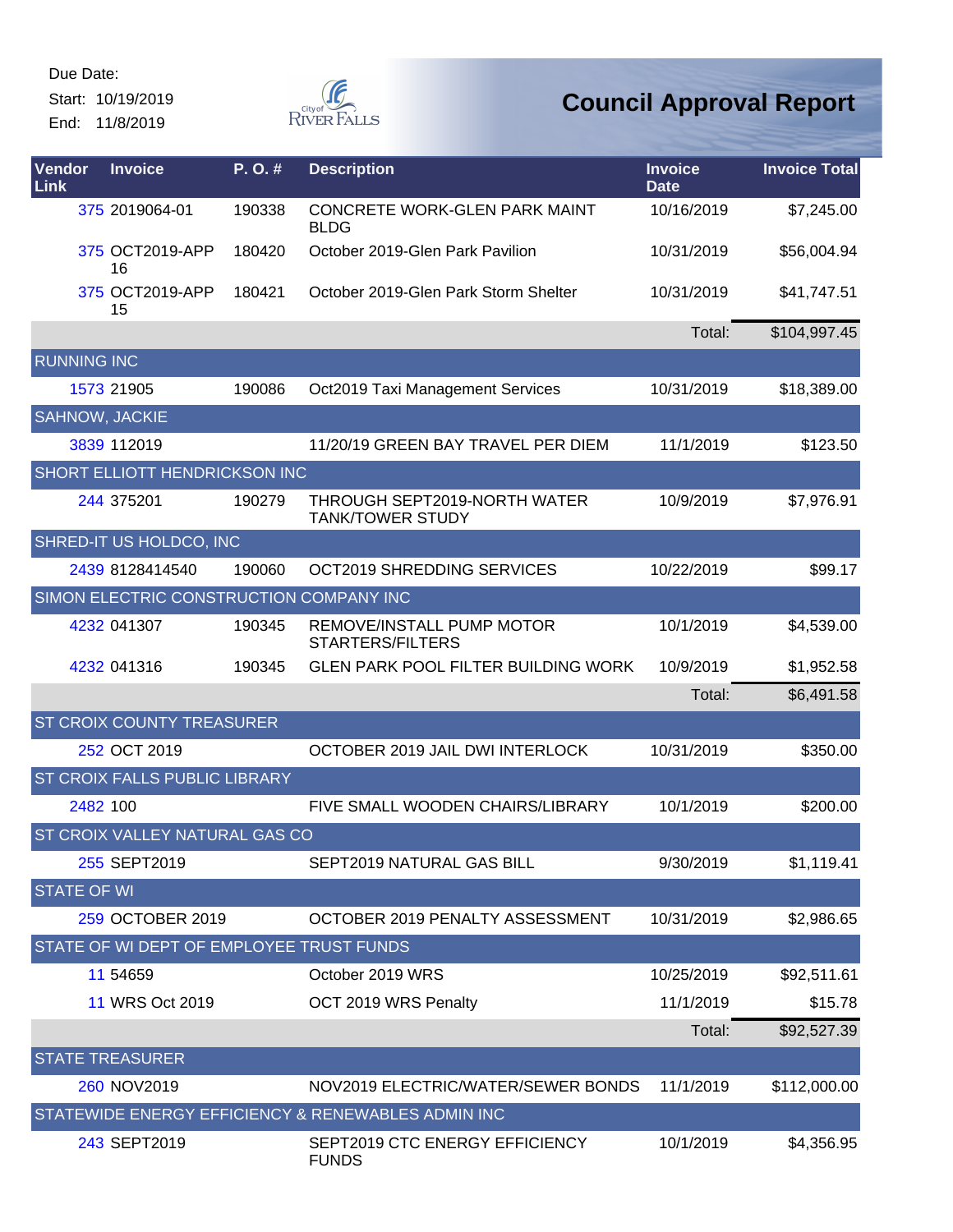Start: 10/19/2019 End: 11/8/2019



| Vendor<br>Link     | <b>Invoice</b>                           | P.O.#  | <b>Description</b>                                      | <b>Invoice</b><br><b>Date</b> | <b>Invoice Total</b> |
|--------------------|------------------------------------------|--------|---------------------------------------------------------|-------------------------------|----------------------|
|                    | 375 2019064-01                           | 190338 | CONCRETE WORK-GLEN PARK MAINT<br><b>BLDG</b>            | 10/16/2019                    | \$7,245.00           |
|                    | 375 OCT2019-APP<br>16                    | 180420 | October 2019-Glen Park Pavilion                         | 10/31/2019                    | \$56,004.94          |
|                    | 375 OCT2019-APP<br>15                    | 180421 | October 2019-Glen Park Storm Shelter                    | 10/31/2019                    | \$41,747.51          |
|                    |                                          |        |                                                         | Total:                        | \$104,997.45         |
| <b>RUNNING INC</b> |                                          |        |                                                         |                               |                      |
|                    | 1573 21905                               | 190086 | Oct2019 Taxi Management Services                        | 10/31/2019                    | \$18,389.00          |
|                    | SAHNOW, JACKIE                           |        |                                                         |                               |                      |
|                    | 3839 112019                              |        | 11/20/19 GREEN BAY TRAVEL PER DIEM                      | 11/1/2019                     | \$123.50             |
|                    | SHORT ELLIOTT HENDRICKSON INC            |        |                                                         |                               |                      |
|                    | 244 375201                               | 190279 | THROUGH SEPT2019-NORTH WATER<br><b>TANK/TOWER STUDY</b> | 10/9/2019                     | \$7,976.91           |
|                    | SHRED-IT US HOLDCO, INC                  |        |                                                         |                               |                      |
|                    | 2439 8128414540                          | 190060 | OCT2019 SHREDDING SERVICES                              | 10/22/2019                    | \$99.17              |
|                    | SIMON ELECTRIC CONSTRUCTION COMPANY INC  |        |                                                         |                               |                      |
|                    | 4232 041307                              | 190345 | REMOVE/INSTALL PUMP MOTOR<br><b>STARTERS/FILTERS</b>    | 10/1/2019                     | \$4,539.00           |
|                    | 4232 041316                              | 190345 | <b>GLEN PARK POOL FILTER BUILDING WORK</b>              | 10/9/2019                     | \$1,952.58           |
|                    |                                          |        |                                                         | Total:                        | \$6,491.58           |
|                    | ST CROIX COUNTY TREASURER                |        |                                                         |                               |                      |
|                    | 252 OCT 2019                             |        | OCTOBER 2019 JAIL DWI INTERLOCK                         | 10/31/2019                    | \$350.00             |
|                    | ST CROIX FALLS PUBLIC LIBRARY            |        |                                                         |                               |                      |
|                    | 2482 100                                 |        | FIVE SMALL WOODEN CHAIRS/LIBRARY                        | 10/1/2019                     | \$200.00             |
|                    | ST CROIX VALLEY NATURAL GAS CO           |        |                                                         |                               |                      |
|                    | 255 SEPT2019                             |        | SEPT2019 NATURAL GAS BILL                               | 9/30/2019                     | \$1,119.41           |
| <b>STATE OF WI</b> |                                          |        |                                                         |                               |                      |
|                    | 259 OCTOBER 2019                         |        | OCTOBER 2019 PENALTY ASSESSMENT                         | 10/31/2019                    | \$2,986.65           |
|                    | STATE OF WI DEPT OF EMPLOYEE TRUST FUNDS |        |                                                         |                               |                      |
|                    | 11 54 659                                |        | October 2019 WRS                                        | 10/25/2019                    | \$92,511.61          |
|                    | 11 WRS Oct 2019                          |        | OCT 2019 WRS Penalty                                    | 11/1/2019                     | \$15.78              |
|                    |                                          |        |                                                         | Total:                        | \$92,527.39          |
|                    | <b>STATE TREASURER</b>                   |        |                                                         |                               |                      |
|                    | 260 NOV2019                              |        | NOV2019 ELECTRIC/WATER/SEWER BONDS                      | 11/1/2019                     | \$112,000.00         |
|                    |                                          |        | STATEWIDE ENERGY EFFICIENCY & RENEWABLES ADMIN INC      |                               |                      |
|                    | 243 SEPT2019                             |        | SEPT2019 CTC ENERGY EFFICIENCY<br><b>FUNDS</b>          | 10/1/2019                     | \$4,356.95           |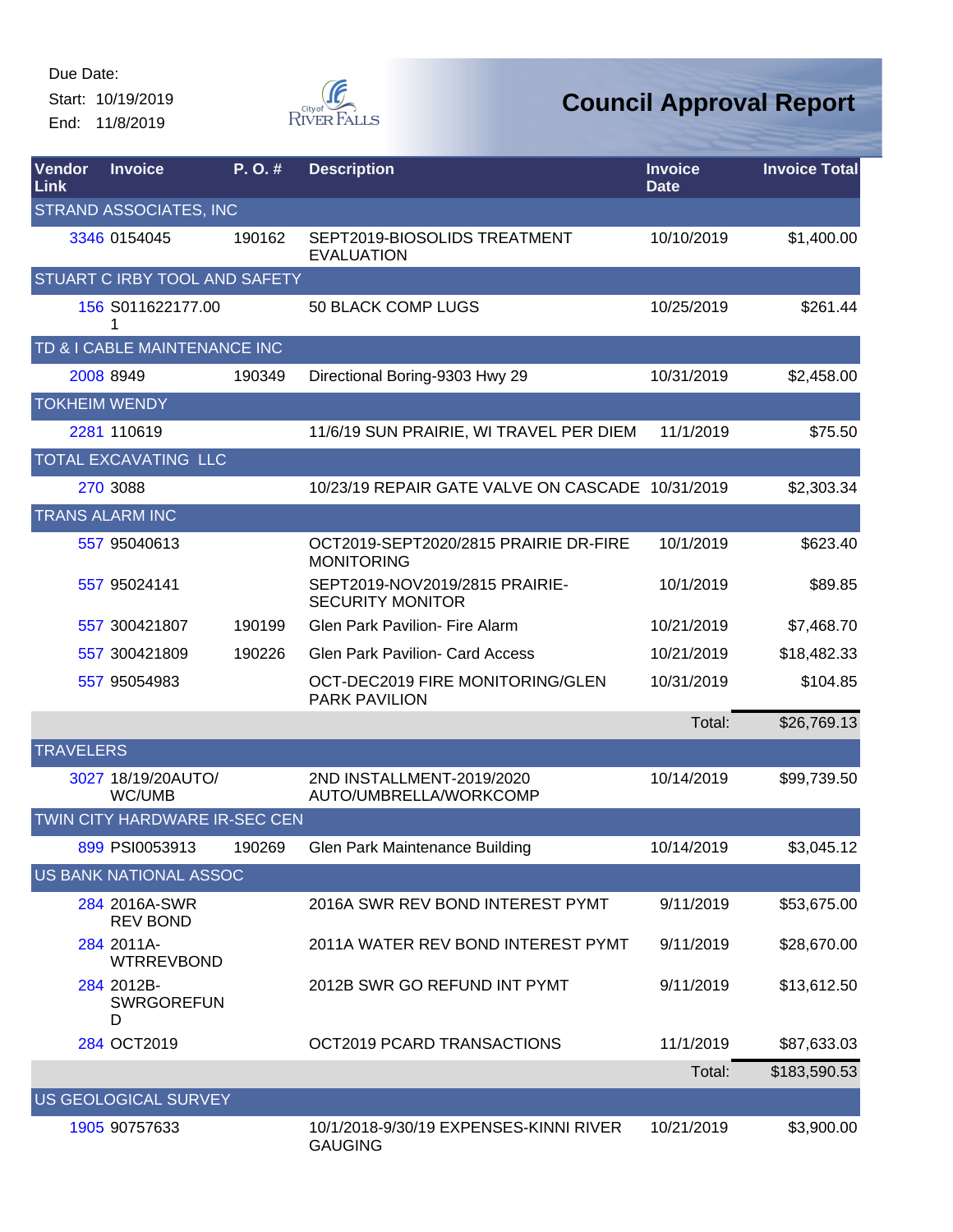Start: 10/19/2019 End: 11/8/2019



| Vendor<br>Link       | <b>Invoice</b>                       | P.O.#  | <b>Description</b>                                         | <b>Invoice</b><br><b>Date</b> | <b>Invoice Total</b> |
|----------------------|--------------------------------------|--------|------------------------------------------------------------|-------------------------------|----------------------|
|                      | <b>STRAND ASSOCIATES, INC</b>        |        |                                                            |                               |                      |
|                      | 3346 0154045                         | 190162 | SEPT2019-BIOSOLIDS TREATMENT<br><b>EVALUATION</b>          | 10/10/2019                    | \$1,400.00           |
|                      | STUART C IRBY TOOL AND SAFETY        |        |                                                            |                               |                      |
|                      | 156 S011622177.00<br>1               |        | 50 BLACK COMP LUGS                                         | 10/25/2019                    | \$261.44             |
|                      | TD & I CABLE MAINTENANCE INC         |        |                                                            |                               |                      |
|                      | 2008 8949                            | 190349 | Directional Boring-9303 Hwy 29                             | 10/31/2019                    | \$2,458.00           |
| <b>TOKHEIM WENDY</b> |                                      |        |                                                            |                               |                      |
|                      | 2281 110619                          |        | 11/6/19 SUN PRAIRIE, WI TRAVEL PER DIEM                    | 11/1/2019                     | \$75.50              |
|                      | TOTAL EXCAVATING LLC                 |        |                                                            |                               |                      |
|                      | 270 3088                             |        | 10/23/19 REPAIR GATE VALVE ON CASCADE 10/31/2019           |                               | \$2,303.34           |
|                      | <b>TRANS ALARM INC</b>               |        |                                                            |                               |                      |
|                      | 557 95040613                         |        | OCT2019-SEPT2020/2815 PRAIRIE DR-FIRE<br><b>MONITORING</b> | 10/1/2019                     | \$623.40             |
|                      | 557 95024141                         |        | SEPT2019-NOV2019/2815 PRAIRIE-<br><b>SECURITY MONITOR</b>  | 10/1/2019                     | \$89.85              |
|                      | 557 300421807                        | 190199 | <b>Glen Park Pavilion- Fire Alarm</b>                      | 10/21/2019                    | \$7,468.70           |
|                      | 557 300421809                        | 190226 | <b>Glen Park Pavilion- Card Access</b>                     | 10/21/2019                    | \$18,482.33          |
|                      | 557 95054983                         |        | OCT-DEC2019 FIRE MONITORING/GLEN<br><b>PARK PAVILION</b>   | 10/31/2019                    | \$104.85             |
|                      |                                      |        |                                                            | Total:                        | \$26,769.13          |
| <b>TRAVELERS</b>     |                                      |        |                                                            |                               |                      |
|                      | 3027 18/19/20AUTO/<br>WC/UMB         |        | 2ND INSTALLMENT-2019/2020<br>AUTO/UMBRELLA/WORKCOMP        | 10/14/2019                    | \$99,739.50          |
|                      | TWIN CITY HARDWARE IR-SEC CEN        |        |                                                            |                               |                      |
|                      | 899 PSI0053913                       | 190269 | Glen Park Maintenance Building                             | 10/14/2019                    | \$3,045.12           |
|                      | US BANK NATIONAL ASSOC               |        |                                                            |                               |                      |
|                      | 284 2016A-SWR<br><b>REV BOND</b>     |        | 2016A SWR REV BOND INTEREST PYMT                           | 9/11/2019                     | \$53,675.00          |
|                      | 284 2011A-<br><b>WTRREVBOND</b>      |        | 2011A WATER REV BOND INTEREST PYMT                         | 9/11/2019                     | \$28,670.00          |
|                      | 284 2012B-<br><b>SWRGOREFUN</b><br>D |        | 2012B SWR GO REFUND INT PYMT                               | 9/11/2019                     | \$13,612.50          |
|                      | 284 OCT2019                          |        | OCT2019 PCARD TRANSACTIONS                                 | 11/1/2019                     | \$87,633.03          |
|                      |                                      |        |                                                            | Total:                        | \$183,590.53         |
|                      | US GEOLOGICAL SURVEY                 |        |                                                            |                               |                      |
|                      | 1905 90757633                        |        | 10/1/2018-9/30/19 EXPENSES-KINNI RIVER<br><b>GAUGING</b>   | 10/21/2019                    | \$3,900.00           |